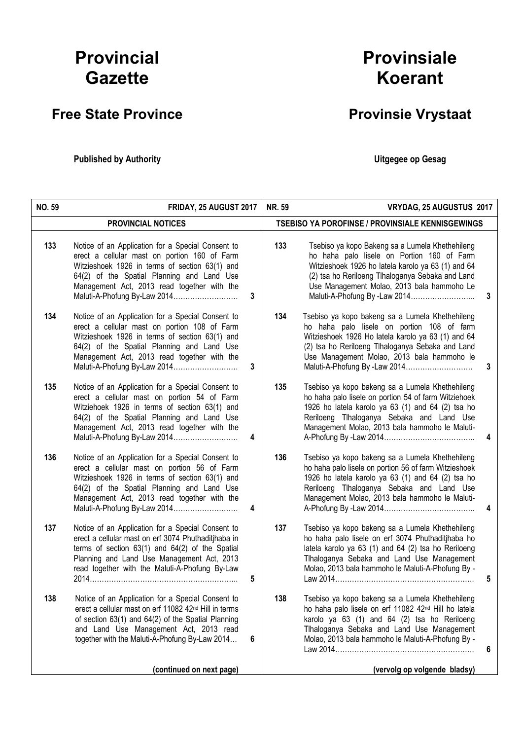## Provincial **Gazette**

## Free State Province **Provinsie Vrystaat**

Published by Authority **National Execution Control Control Control Control Control Control Control Control Control Control Control Control Control Control Control Control Control Control Control Control Control Control Con** 

## Provinsiale Koerant

| <b>NO. 59</b> | FRIDAY, 25 AUGUST 2017                                                                                                                                                                                                                                                           |   | <b>NR. 59</b> | VRYDAG, 25 AUGUSTUS 2017                                                                                                                                                                                                                                                               |   |
|---------------|----------------------------------------------------------------------------------------------------------------------------------------------------------------------------------------------------------------------------------------------------------------------------------|---|---------------|----------------------------------------------------------------------------------------------------------------------------------------------------------------------------------------------------------------------------------------------------------------------------------------|---|
|               | PROVINCIAL NOTICES                                                                                                                                                                                                                                                               |   |               | <b>TSEBISO YA POROFINSE / PROVINSIALE KENNISGEWINGS</b>                                                                                                                                                                                                                                |   |
| 133           | Notice of an Application for a Special Consent to<br>erect a cellular mast on portion 160 of Farm<br>Witzieshoek 1926 in terms of section 63(1) and<br>64(2) of the Spatial Planning and Land Use<br>Management Act, 2013 read together with the<br>Maluti-A-Phofung By-Law 2014 | 3 | 133           | Tsebiso ya kopo Bakeng sa a Lumela Khethehileng<br>ho haha palo lisele on Portion 160 of Farm<br>Witzieshoek 1926 ho latela karolo ya 63 (1) and 64<br>(2) tsa ho Reriloeng Tlhaloganya Sebaka and Land<br>Use Management Molao, 2013 bala hammoho Le                                  | 3 |
| 134           | Notice of an Application for a Special Consent to<br>erect a cellular mast on portion 108 of Farm<br>Witzieshoek 1926 in terms of section 63(1) and<br>64(2) of the Spatial Planning and Land Use<br>Management Act, 2013 read together with the<br>Maluti-A-Phofung By-Law 2014 | 3 | 134           | Tsebiso ya kopo bakeng sa a Lumela Khethehileng<br>ho haha palo lisele on portion 108 of farm<br>Witzieshoek 1926 Ho latela karolo ya 63 (1) and 64<br>(2) tsa ho Reriloeng Tlhaloganya Sebaka and Land<br>Use Management Molao, 2013 bala hammoho le<br>Maluti-A-Phofung By -Law 2014 | 3 |
| 135           | Notice of an Application for a Special Consent to<br>erect a cellular mast on portion 54 of Farm<br>Witziehoek 1926 in terms of section 63(1) and<br>64(2) of the Spatial Planning and Land Use<br>Management Act, 2013 read together with the<br>Maluti-A-Phofung By-Law 2014   | 4 | 135           | Tsebiso ya kopo bakeng sa a Lumela Khethehileng<br>ho haha palo lisele on portion 54 of farm Witziehoek<br>1926 ho latela karolo ya 63 (1) and 64 (2) tsa ho<br>Reriloeng Tlhaloganya Sebaka and Land Use<br>Management Molao, 2013 bala hammoho le Maluti-                            | 4 |
| 136           | Notice of an Application for a Special Consent to<br>erect a cellular mast on portion 56 of Farm<br>Witzieshoek 1926 in terms of section 63(1) and<br>64(2) of the Spatial Planning and Land Use<br>Management Act, 2013 read together with the<br>Maluti-A-Phofung By-Law 2014  | 4 | 136           | Tsebiso ya kopo bakeng sa a Lumela Khethehileng<br>ho haha palo lisele on portion 56 of farm Witzieshoek<br>1926 ho latela karolo ya 63 (1) and 64 (2) tsa ho<br>Reriloeng Tlhaloganya Sebaka and Land Use<br>Management Molao, 2013 bala hammoho le Maluti-                           | 4 |
| 137           | Notice of an Application for a Special Consent to<br>erect a cellular mast on erf 3074 Phuthaditjhaba in<br>terms of section $63(1)$ and $64(2)$ of the Spatial<br>Planning and Land Use Management Act, 2013<br>read together with the Maluti-A-Phofung By-Law                  | 5 | 137           | Tsebiso ya kopo bakeng sa a Lumela Khethehileng<br>ho haha palo lisele on erf 3074 Phuthaditjhaba ho<br>latela karolo ya 63 (1) and 64 (2) tsa ho Reriloeng<br>Tihaloganya Sebaka and Land Use Management<br>Molao, 2013 bala hammoho le Maluti-A-Phofung By -                         | 5 |
| 138           | Notice of an Application for a Special Consent to<br>erect a cellular mast on erf 11082 42 <sup>nd</sup> Hill in terms<br>of section 63(1) and 64(2) of the Spatial Planning<br>and Land Use Management Act, 2013 read<br>together with the Maluti-A-Phofung By-Law 2014         | 6 | 138           | Tsebiso ya kopo bakeng sa a Lumela Khethehileng<br>ho haha palo lisele on erf 11082 42 <sup>nd</sup> Hill ho latela<br>karolo ya 63 (1) and 64 (2) tsa ho Reriloeng<br>Tihaloganya Sebaka and Land Use Management<br>Molao, 2013 bala hammoho le Maluti-A-Phofung By -                 | 6 |
|               | (continued on next page)                                                                                                                                                                                                                                                         |   |               | (vervolg op volgende bladsy)                                                                                                                                                                                                                                                           |   |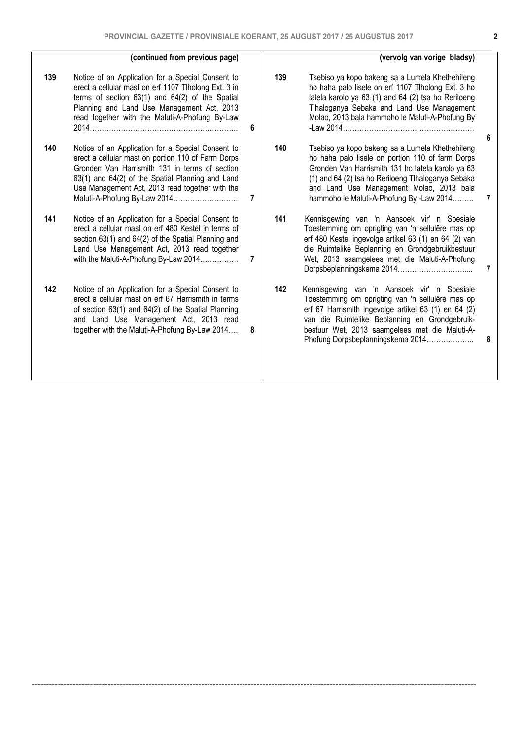|     | (continued from previous page)                                                                                                                                                                                                                                                                   |   |     | (vervolg van vorige bladsy)                                                                                                                                                                                                                                                                            |                     |
|-----|--------------------------------------------------------------------------------------------------------------------------------------------------------------------------------------------------------------------------------------------------------------------------------------------------|---|-----|--------------------------------------------------------------------------------------------------------------------------------------------------------------------------------------------------------------------------------------------------------------------------------------------------------|---------------------|
| 139 | Notice of an Application for a Special Consent to<br>erect a cellular mast on erf 1107 Tlholong Ext. 3 in<br>terms of section $63(1)$ and $64(2)$ of the Spatial<br>Planning and Land Use Management Act, 2013<br>read together with the Maluti-A-Phofung By-Law                                 | 6 | 139 | Tsebiso ya kopo bakeng sa a Lumela Khethehileng<br>ho haha palo lisele on erf 1107 Tlholong Ext. 3 ho<br>latela karolo ya 63 (1) and 64 (2) tsa ho Reriloeng<br>Tihaloganya Sebaka and Land Use Management<br>Molao, 2013 bala hammoho le Maluti-A-Phofung By<br>$-Law 2014$                           |                     |
| 140 | Notice of an Application for a Special Consent to<br>erect a cellular mast on portion 110 of Farm Dorps<br>Gronden Van Harrismith 131 in terms of section<br>63(1) and 64(2) of the Spatial Planning and Land<br>Use Management Act, 2013 read together with the<br>Maluti-A-Phofung By-Law 2014 | 7 | 140 | Tsebiso ya kopo bakeng sa a Lumela Khethehileng<br>ho haha palo lisele on portion 110 of farm Dorps<br>Gronden Van Harrismith 131 ho latela karolo ya 63<br>(1) and 64 (2) tsa ho Reriloeng Tlhaloganya Sebaka<br>and Land Use Management Molao, 2013 bala<br>hammoho le Maluti-A-Phofung By -Law 2014 | 6<br>$\overline{7}$ |
| 141 | Notice of an Application for a Special Consent to<br>erect a cellular mast on erf 480 Kestel in terms of<br>section 63(1) and 64(2) of the Spatial Planning and<br>Land Use Management Act, 2013 read together<br>with the Maluti-A-Phofung By-Law 2014                                          | 7 | 141 | Kennisgewing van 'n Aansoek vir' n Spesiale<br>Toestemming om oprigting van 'n sellulêre mas op<br>erf 480 Kestel ingevolge artikel 63 (1) en 64 (2) van<br>die Ruimtelike Beplanning en Grondgebruikbestuur<br>Wet, 2013 saamgelees met die Maluti-A-Phofung                                          | 7                   |
| 142 | Notice of an Application for a Special Consent to<br>erect a cellular mast on erf 67 Harrismith in terms<br>of section 63(1) and 64(2) of the Spatial Planning<br>and Land Use Management Act, 2013 read<br>together with the Maluti-A-Phofung By-Law 2014                                       | 8 | 142 | Kennisgewing van 'n Aansoek vir' n Spesiale<br>Toestemming om oprigting van 'n sellulêre mas op<br>erf 67 Harrismith ingevolge artikel 63 (1) en 64 (2)<br>van die Ruimtelike Beplanning en Grondgebruik-<br>bestuur Wet, 2013 saamgelees met die Maluti-A-<br>Phofung Dorpsbeplanningskema 2014       | 8                   |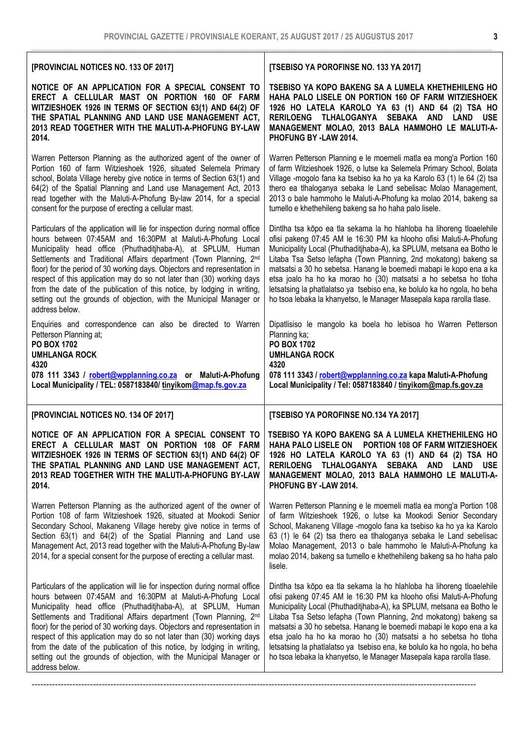| [PROVINCIAL NOTICES NO. 133 OF 2017]                                                                                                                                                                                                                                                                                                                                                                                                                                                                                                                                                                                    | [TSEBISO YA POROFINSE NO. 133 YA 2017]                                                                                                                                                                                                                                                                                                                                                                                                                                                                                                                                                 |
|-------------------------------------------------------------------------------------------------------------------------------------------------------------------------------------------------------------------------------------------------------------------------------------------------------------------------------------------------------------------------------------------------------------------------------------------------------------------------------------------------------------------------------------------------------------------------------------------------------------------------|----------------------------------------------------------------------------------------------------------------------------------------------------------------------------------------------------------------------------------------------------------------------------------------------------------------------------------------------------------------------------------------------------------------------------------------------------------------------------------------------------------------------------------------------------------------------------------------|
| NOTICE OF AN APPLICATION FOR A SPECIAL CONSENT TO<br>ERECT A CELLULAR MAST ON PORTION 160 OF FARM<br>WITZIESHOEK 1926 IN TERMS OF SECTION 63(1) AND 64(2) OF<br>THE SPATIAL PLANNING AND LAND USE MANAGEMENT ACT,<br>2013 READ TOGETHER WITH THE MALUTI-A-PHOFUNG BY-LAW<br>2014.                                                                                                                                                                                                                                                                                                                                       | TSEBISO YA KOPO BAKENG SA A LUMELA KHETHEHILENG HO<br>HAHA PALO LISELE ON PORTION 160 OF FARM WITZIESHOEK<br>1926 HO LATELA KAROLO YA 63 (1) AND 64 (2) TSA HO<br>RERILOENG TLHALOGANYA SEBAKA AND LAND<br><b>USE</b><br>MANAGEMENT MOLAO, 2013 BALA HAMMOHO LE MALUTI-A-<br>PHOFUNG BY -LAW 2014.                                                                                                                                                                                                                                                                                     |
| Warren Petterson Planning as the authorized agent of the owner of<br>Portion 160 of farm Witzieshoek 1926, situated Selemela Primary<br>school, Bolata Village hereby give notice in terms of Section 63(1) and<br>64(2) of the Spatial Planning and Land use Management Act, 2013<br>read together with the Maluti-A-Phofung By-law 2014, for a special<br>consent for the purpose of erecting a cellular mast.                                                                                                                                                                                                        | Warren Petterson Planning e le moemeli matla ea mong'a Portion 160<br>of farm Witzieshoek 1926, o lutse ka Selemela Primary School, Bolata<br>Village -mogolo fana ka tsebiso ka ho ya ka Karolo 63 (1) le 64 (2) tsa<br>thero ea tihaloganya sebaka le Land sebelisac Molao Management,<br>2013 o bale hammoho le Maluti-A-Phofung ka molao 2014, bakeng sa<br>tumello e khethehileng bakeng sa ho haha palo lisele.                                                                                                                                                                  |
| Particulars of the application will lie for inspection during normal office<br>hours between 07:45AM and 16:30PM at Maluti-A-Phofung Local<br>Municipality head office (Phuthaditjhaba-A), at SPLUM, Human<br>Settlements and Traditional Affairs department (Town Planning, 2 <sup>nd</sup><br>floor) for the period of 30 working days. Objectors and representation in<br>respect of this application may do so not later than (30) working days<br>from the date of the publication of this notice, by lodging in writing,<br>setting out the grounds of objection, with the Municipal Manager or<br>address below. | Dintlha tsa kōpo ea tla sekama la ho hlahloba ha lihoreng tloaelehile<br>ofisi pakeng 07:45 AM le 16:30 PM ka hlooho ofisi Maluti-A-Phofung<br>Municipality Local (Phuthaditjhaba-A), ka SPLUM, metsana ea Botho le<br>Litaba Tsa Setso lefapha (Town Planning, 2nd mokatong) bakeng sa<br>matsatsi a 30 ho sebetsa. Hanang le boemedi mabapi le kopo ena a ka<br>etsa joalo ha ho ka morao ho (30) matsatsi a ho sebetsa ho tloha<br>letsatsing la phatlalatso ya tsebiso ena, ke bolulo ka ho ngola, ho beha<br>ho tsoa lebaka la khanyetso, le Manager Masepala kapa rarolla tlase. |
| Enquiries and correspondence can also be directed to Warren<br>Petterson Planning at;<br><b>PO BOX 1702</b><br><b>UMHLANGA ROCK</b><br>4320<br>078 111 3343 / robert@wpplanning.co.za or Maluti-A-Phofung<br>Local Municipality / TEL: 0587183840/ tinyikom@map.fs.gov.za                                                                                                                                                                                                                                                                                                                                               | Dipatlisiso le mangolo ka boela ho lebisoa ho Warren Petterson<br>Planning ka;<br><b>PO BOX 1702</b><br><b>UMHLANGA ROCK</b><br>4320<br>078 111 3343 / robert@wpplanning.co.za kapa Maluti-A-Phofung<br>Local Municipality / Tel: 0587183840 / tinyikom@map.fs.gov.za                                                                                                                                                                                                                                                                                                                  |
| [PROVINCIAL NOTICES NO. 134 OF 2017]                                                                                                                                                                                                                                                                                                                                                                                                                                                                                                                                                                                    | [TSEBISO YA POROFINSE NO.134 YA 2017]                                                                                                                                                                                                                                                                                                                                                                                                                                                                                                                                                  |
| NOTICE OF AN APPLICATION FOR A SPECIAL CONSENT TO<br>ERECT A CELLULAR MAST ON PORTION 108 OF FARM<br>WITZIESHOEK 1926 IN TERMS OF SECTION 63(1) AND 64(2) OF<br>THE SPATIAL PLANNING AND LAND USE MANAGEMENT ACT,<br>2013 READ TOGETHER WITH THE MALUTI-A-PHOFUNG BY-LAW<br>2014.                                                                                                                                                                                                                                                                                                                                       | TSEBISO YA KOPO BAKENG SA A LUMELA KHETHEHILENG HO<br>HAHA PALO LISELE ON PORTION 108 OF FARM WITZIESHOEK<br>1926 HO LATELA KAROLO YA 63 (1) AND 64 (2) TSA HO<br>RERILOENG TLHALOGANYA SEBAKA AND LAND USE<br>MANAGEMENT MOLAO, 2013 BALA HAMMOHO LE MALUTI-A-<br>PHOFUNG BY -LAW 2014.                                                                                                                                                                                                                                                                                               |
| Warren Petterson Planning as the authorized agent of the owner of<br>Portion 108 of farm Witzieshoek 1926, situated at Mookodi Senior<br>Secondary School, Makaneng Village hereby give notice in terms of<br>Section 63(1) and 64(2) of the Spatial Planning and Land use<br>Management Act, 2013 read together with the Maluti-A-Phofung By-law<br>2014, for a special consent for the purpose of erecting a cellular mast.                                                                                                                                                                                           | Warren Petterson Planning e le moemeli matla ea mong'a Portion 108<br>of farm Witzieshoek 1926, o lutse ka Mookodi Senior Secondary<br>School, Makaneng Village -mogolo fana ka tsebiso ka ho ya ka Karolo<br>63 (1) le 64 (2) tsa thero ea tlhaloganya sebaka le Land sebelisac<br>Molao Management, 2013 o bale hammoho le Maluti-A-Phofung ka<br>molao 2014, bakeng sa tumello e khethehileng bakeng sa ho haha palo<br>lisele.                                                                                                                                                     |
| Particulars of the application will lie for inspection during normal office<br>hours between 07:45AM and 16:30PM at Maluti-A-Phofung Local<br>Municipality head office (Phuthaditjhaba-A), at SPLUM, Human<br>Settlements and Traditional Affairs department (Town Planning, 2nd<br>floor) for the period of 30 working days. Objectors and representation in<br>respect of this application may do so not later than (30) working days<br>from the date of the publication of this notice, by lodging in writing,<br>setting out the grounds of objection, with the Municipal Manager or<br>address below.             | Dintlha tsa kōpo ea tla sekama la ho hlahloba ha lihoreng tloaelehile<br>ofisi pakeng 07:45 AM le 16:30 PM ka hlooho ofisi Maluti-A-Phofung<br>Municipality Local (Phuthaditjhaba-A), ka SPLUM, metsana ea Botho le<br>Litaba Tsa Setso lefapha (Town Planning, 2nd mokatong) bakeng sa<br>matsatsi a 30 ho sebetsa. Hanang le boemedi mabapi le kopo ena a ka<br>etsa joalo ha ho ka morao ho (30) matsatsi a ho sebetsa ho tloha<br>letsatsing la phatlalatso ya tsebiso ena, ke bolulo ka ho ngola, ho beha<br>ho tsoa lebaka la khanyetso, le Manager Masepala kapa rarolla tlase. |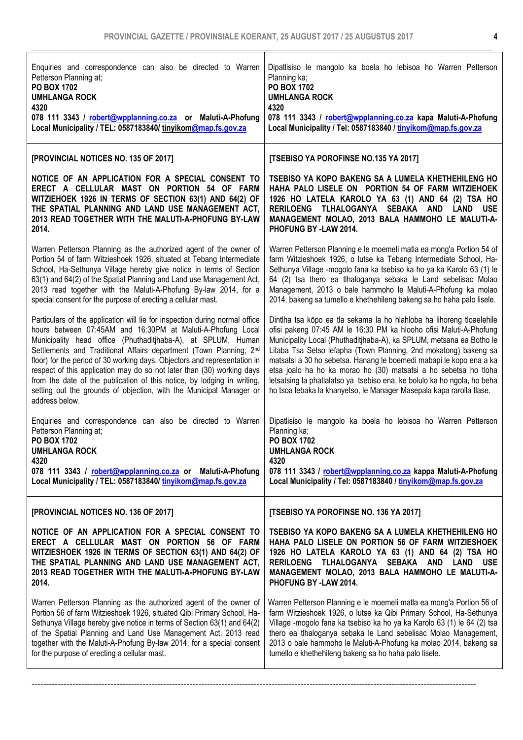| Enquiries and correspondence can also be directed to Warren<br>Petterson Planning at;<br>PO BOX 1702<br><b>UMHLANGA ROCK</b><br>4320<br>078 111 3343 / robert@wpplanning.co.za or Maluti-A-Phofung<br>Local Municipality / TEL: 0587183840/ tinyikom@map.fs.gov.za                                                                                                                                                                                                                                                                                                                                          | Dipatlisiso le mangolo ka boela ho lebisoa ho Warren Petterson<br>Planning ka;<br>PO BOX 1702<br><b>UMHLANGA ROCK</b><br>4320<br>078 111 3343 / robert@wpplanning.co.za kapa Maluti-A-Phofung<br>Local Municipality / Tel: 0587183840 / tinyikom@map.fs.gov.za                                                                                                                                                                                                                                                                                                                         |
|-------------------------------------------------------------------------------------------------------------------------------------------------------------------------------------------------------------------------------------------------------------------------------------------------------------------------------------------------------------------------------------------------------------------------------------------------------------------------------------------------------------------------------------------------------------------------------------------------------------|----------------------------------------------------------------------------------------------------------------------------------------------------------------------------------------------------------------------------------------------------------------------------------------------------------------------------------------------------------------------------------------------------------------------------------------------------------------------------------------------------------------------------------------------------------------------------------------|
| [PROVINCIAL NOTICES NO. 135 OF 2017]                                                                                                                                                                                                                                                                                                                                                                                                                                                                                                                                                                        | [TSEBISO YA POROFINSE NO.135 YA 2017]                                                                                                                                                                                                                                                                                                                                                                                                                                                                                                                                                  |
| NOTICE OF AN APPLICATION FOR A SPECIAL CONSENT TO<br>ERECT A CELLULAR MAST ON PORTION 54 OF FARM<br>WITZIEHOEK 1926 IN TERMS OF SECTION 63(1) AND 64(2) OF<br>THE SPATIAL PLANNING AND LAND USE MANAGEMENT ACT,<br>2013 READ TOGETHER WITH THE MALUTI-A-PHOFUNG BY-LAW<br>2014.                                                                                                                                                                                                                                                                                                                             | TSEBISO YA KOPO BAKENG SA A LUMELA KHETHEHILENG HO<br>HAHA PALO LISELE ON PORTION 54 OF FARM WITZIEHOEK<br>1926 HO LATELA KAROLO YA 63 (1) AND 64 (2) TSA HO<br>RERILOENG TLHALOGANYA SEBAKA AND LAND<br>USE<br>MANAGEMENT MOLAO, 2013 BALA HAMMOHO LE MALUTI-A-<br>PHOFUNG BY -LAW 2014.                                                                                                                                                                                                                                                                                              |
| Warren Petterson Planning as the authorized agent of the owner of<br>Portion 54 of farm Witzieshoek 1926, situated at Tebang Intermediate<br>School, Ha-Sethunya Village hereby give notice in terms of Section<br>63(1) and 64(2) of the Spatial Planning and Land use Management Act,<br>2013 read together with the Maluti-A-Phofung By-law 2014, for a<br>special consent for the purpose of erecting a cellular mast.                                                                                                                                                                                  | Warren Petterson Planning e le moemeli matla ea mong'a Portion 54 of<br>farm Witzieshoek 1926, o lutse ka Tebang Intermediate School, Ha-<br>Sethunya Village -mogolo fana ka tsebiso ka ho ya ka Karolo 63 (1) le<br>64 (2) tsa thero ea tlhaloganya sebaka le Land sebelisac Molao<br>Management, 2013 o bale hammoho le Maluti-A-Phofung ka molao<br>2014, bakeng sa tumello e khethehileng bakeng sa ho haha palo lisele.                                                                                                                                                          |
| Particulars of the application will lie for inspection during normal office<br>hours between 07:45AM and 16:30PM at Maluti-A-Phofung Local<br>Municipality head office (Phuthaditjhaba-A), at SPLUM, Human<br>Settlements and Traditional Affairs department (Town Planning, 2nd<br>floor) for the period of 30 working days. Objectors and representation in<br>respect of this application may do so not later than (30) working days<br>from the date of the publication of this notice, by lodging in writing,<br>setting out the grounds of objection, with the Municipal Manager or<br>address below. | Dintlha tsa kōpo ea tla sekama la ho hlahloba ha lihoreng tloaelehile<br>ofisi pakeng 07:45 AM le 16:30 PM ka hlooho ofisi Maluti-A-Phofung<br>Municipality Local (Phuthaditjhaba-A), ka SPLUM, metsana ea Botho le<br>Litaba Tsa Setso lefapha (Town Planning, 2nd mokatong) bakeng sa<br>matsatsi a 30 ho sebetsa. Hanang le boemedi mabapi le kopo ena a ka<br>etsa joalo ha ho ka morao ho (30) matsatsi a ho sebetsa ho tloha<br>letsatsing la phatlalatso ya tsebiso ena, ke bolulo ka ho ngola, ho beha<br>ho tsoa lebaka la khanyetso, le Manager Masepala kapa rarolla tlase. |
| Enquiries and correspondence can also be directed to Warren<br>Petterson Planning at;<br><b>PO BOX 1702</b><br><b>UMHLANGA ROCK</b><br>4320<br>078 111 3343 / robert@wpplanning.co.za or Maluti-A-Phofung<br>Local Municipality / TEL: 0587183840/ tinyikom@map.fs.gov.za                                                                                                                                                                                                                                                                                                                                   | Dipatlisiso le mangolo ka boela ho lebisoa ho Warren Petterson<br>Planning ka;<br><b>PO BOX 1702</b><br><b>UMHLANGA ROCK</b><br>4320<br>078 111 3343 / robert@wpplanning.co.za kappa Maluti-A-Phofung<br>Local Municipality / Tel: 0587183840 / tinyikom@map.fs.gov.za                                                                                                                                                                                                                                                                                                                 |
| [PROVINCIAL NOTICES NO. 136 OF 2017]                                                                                                                                                                                                                                                                                                                                                                                                                                                                                                                                                                        | [TSEBISO YA POROFINSE NO. 136 YA 2017]                                                                                                                                                                                                                                                                                                                                                                                                                                                                                                                                                 |
| NOTICE OF AN APPLICATION FOR A SPECIAL CONSENT TO<br>ERECT A CELLULAR MAST ON PORTION 56 OF FARM<br>WITZIESHOEK 1926 IN TERMS OF SECTION 63(1) AND 64(2) OF<br>THE SPATIAL PLANNING AND LAND USE MANAGEMENT ACT,<br>2013 READ TOGETHER WITH THE MALUTI-A-PHOFUNG BY-LAW<br>2014.                                                                                                                                                                                                                                                                                                                            | TSEBISO YA KOPO BAKENG SA A LUMELA KHETHEHILENG HO<br>HAHA PALO LISELE ON PORTION 56 OF FARM WITZIESHOEK<br>1926 HO LATELA KAROLO YA 63 (1) AND 64 (2) TSA HO<br>RERILOENG TLHALOGANYA SEBAKA AND LAND<br>USE<br>MANAGEMENT MOLAO, 2013 BALA HAMMOHO LE MALUTI-A-<br>PHOFUNG BY -LAW 2014.                                                                                                                                                                                                                                                                                             |
| Warren Petterson Planning as the authorized agent of the owner of<br>Portion 56 of farm Witzieshoek 1926, situated Qibi Primary School, Ha-<br>Sethunya Village hereby give notice in terms of Section 63(1) and 64(2)<br>of the Spatial Planning and Land Use Management Act, 2013 read<br>together with the Maluti-A-Phofung By-law 2014, for a special consent<br>for the purpose of erecting a cellular mast.                                                                                                                                                                                           | Warren Petterson Planning e le moemeli matla ea mong'a Portion 56 of<br>farm Witzieshoek 1926, o lutse ka Qibi Primary School, Ha-Sethunya<br>Village -mogolo fana ka tsebiso ka ho ya ka Karolo 63 (1) le 64 (2) tsa<br>thero ea tihaloganya sebaka le Land sebelisac Molao Management,<br>2013 o bale hammoho le Maluti-A-Phofung ka molao 2014, bakeng sa<br>tumello e khethehileng bakeng sa ho haha palo lisele.                                                                                                                                                                  |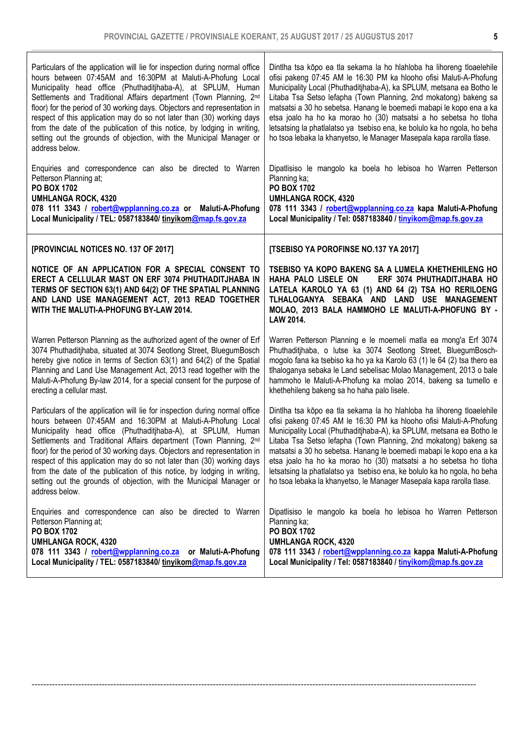| Particulars of the application will lie for inspection during normal office<br>hours between 07:45AM and 16:30PM at Maluti-A-Phofung Local<br>Municipality head office (Phuthaditihaba-A), at SPLUM, Human<br>Settlements and Traditional Affairs department (Town Planning, 2nd<br>floor) for the period of 30 working days. Objectors and representation in<br>respect of this application may do so not later than (30) working days<br>from the date of the publication of this notice, by lodging in writing,<br>setting out the grounds of objection, with the Municipal Manager or<br>address below. | Dintlha tsa kōpo ea tla sekama la ho hlahloba ha lihoreng tloaelehile<br>ofisi pakeng 07:45 AM le 16:30 PM ka hlooho ofisi Maluti-A-Phofung<br>Municipality Local (Phuthaditjhaba-A), ka SPLUM, metsana ea Botho le<br>Litaba Tsa Setso lefapha (Town Planning, 2nd mokatong) bakeng sa<br>matsatsi a 30 ho sebetsa. Hanang le boemedi mabapi le kopo ena a ka<br>etsa joalo ha ho ka morao ho (30) matsatsi a ho sebetsa ho tloha<br>letsatsing la phatlalatso ya tsebiso ena, ke bolulo ka ho ngola, ho beha<br>ho tsoa lebaka la khanyetso, le Manager Masepala kapa rarolla tlase. |
|-------------------------------------------------------------------------------------------------------------------------------------------------------------------------------------------------------------------------------------------------------------------------------------------------------------------------------------------------------------------------------------------------------------------------------------------------------------------------------------------------------------------------------------------------------------------------------------------------------------|----------------------------------------------------------------------------------------------------------------------------------------------------------------------------------------------------------------------------------------------------------------------------------------------------------------------------------------------------------------------------------------------------------------------------------------------------------------------------------------------------------------------------------------------------------------------------------------|
| Enquiries and correspondence can also be directed to Warren<br>Petterson Planning at;<br>PO BOX 1702<br><b>UMHLANGA ROCK, 4320</b><br>078 111 3343 / robert@wpplanning.co.za or Maluti-A-Phofung<br>Local Municipality / TEL: 0587183840/ tinyikom@map.fs.gov.za                                                                                                                                                                                                                                                                                                                                            | Dipatlisiso le mangolo ka boela ho lebisoa ho Warren Petterson<br>Planning ka;<br>PO BOX 1702<br><b>UMHLANGA ROCK, 4320</b><br>078 111 3343 / robert@wpplanning.co.za kapa Maluti-A-Phofung<br>Local Municipality / Tel: 0587183840 / tinyikom@map.fs.gov.za                                                                                                                                                                                                                                                                                                                           |
| [PROVINCIAL NOTICES NO. 137 OF 2017]                                                                                                                                                                                                                                                                                                                                                                                                                                                                                                                                                                        | [TSEBISO YA POROFINSE NO.137 YA 2017]                                                                                                                                                                                                                                                                                                                                                                                                                                                                                                                                                  |
| NOTICE OF AN APPLICATION FOR A SPECIAL CONSENT TO<br>ERECT A CELLULAR MAST ON ERF 3074 PHUTHADITJHABA IN<br>TERMS OF SECTION 63(1) AND 64(2) OF THE SPATIAL PLANNING<br>AND LAND USE MANAGEMENT ACT, 2013 READ TOGETHER<br>WITH THE MALUTI-A-PHOFUNG BY-LAW 2014.                                                                                                                                                                                                                                                                                                                                           | TSEBISO YA KOPO BAKENG SA A LUMELA KHETHEHILENG HO<br>HAHA PALO LISELE ON<br>ERF 3074 PHUTHADITJHABA HO<br>LATELA KAROLO YA 63 (1) AND 64 (2) TSA HO RERILOENG<br>TLHALOGANYA SEBAKA AND LAND USE MANAGEMENT<br>MOLAO, 2013 BALA HAMMOHO LE MALUTI-A-PHOFUNG BY -<br>LAW 2014.                                                                                                                                                                                                                                                                                                         |
| Warren Petterson Planning as the authorized agent of the owner of Erf<br>3074 Phuthaditjhaba, situated at 3074 Seotlong Street, BluegumBosch<br>hereby give notice in terms of Section 63(1) and 64(2) of the Spatial<br>Planning and Land Use Management Act, 2013 read together with the<br>Maluti-A-Phofung By-law 2014, for a special consent for the purpose of<br>erecting a cellular mast.                                                                                                                                                                                                           | Warren Petterson Planning e le moemeli matla ea mong'a Erf 3074<br>Phuthaditihaba, o lutse ka 3074 Seotlong Street, BluegumBosch-<br>mogolo fana ka tsebiso ka ho ya ka Karolo 63 (1) le 64 (2) tsa thero ea<br>tlhaloganya sebaka le Land sebelisac Molao Management, 2013 o bale<br>hammoho le Maluti-A-Phofung ka molao 2014, bakeng sa tumello e<br>khethehileng bakeng sa ho haha palo lisele.                                                                                                                                                                                    |
| Particulars of the application will lie for inspection during normal office<br>hours between 07:45AM and 16:30PM at Maluti-A-Phofung Local<br>Municipality head office (Phuthaditihaba-A), at SPLUM, Human<br>Settlements and Traditional Affairs department (Town Planning, 2nd<br>floor) for the period of 30 working days. Objectors and representation in<br>respect of this application may do so not later than (30) working days<br>from the date of the publication of this notice, by lodging in writing,<br>setting out the grounds of objection, with the Municipal Manager or<br>address below. | Dintlha tsa kōpo ea tla sekama la ho hlahloba ha lihoreng tloaelehile<br>ofisi pakeng 07:45 AM le 16:30 PM ka hlooho ofisi Maluti-A-Phofung<br>Municipality Local (Phuthaditjhaba-A), ka SPLUM, metsana ea Botho le<br>Litaba Tsa Setso lefapha (Town Planning, 2nd mokatong) bakeng sa<br>matsatsi a 30 ho sebetsa. Hanang le boemedi mabapi le kopo ena a ka<br>etsa joalo ha ho ka morao ho (30) matsatsi a ho sebetsa ho tloha<br>letsatsing la phatlalatso ya tsebiso ena, ke bolulo ka ho ngola, ho beha<br>ho tsoa lebaka la khanyetso, le Manager Masepala kapa rarolla tlase. |
| Enquiries and correspondence can also be directed to Warren<br>Petterson Planning at;<br>PO BOX 1702<br><b>UMHLANGA ROCK, 4320</b><br>078 111 3343 / robert@wpplanning.co.za or Maluti-A-Phofung<br>Local Municipality / TEL: 0587183840/ tinyikom@map.fs.gov.za                                                                                                                                                                                                                                                                                                                                            | Dipatlisiso le mangolo ka boela ho lebisoa ho Warren Petterson<br>Planning ka;<br>PO BOX 1702<br><b>UMHLANGA ROCK, 4320</b><br>078 111 3343 / robert@wpplanning.co.za kappa Maluti-A-Phofung<br>Local Municipality / Tel: 0587183840 / tinyikom@map.fs.gov.za                                                                                                                                                                                                                                                                                                                          |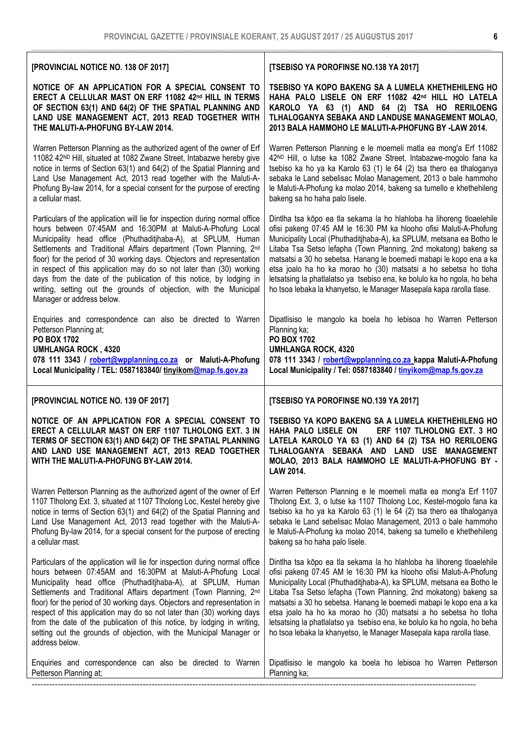| [PROVINCIAL NOTICE NO. 138 OF 2017]                                                                                                                                                                                                                                                                                                                                                                                                                                                                                                                                                                                     | [TSEBISO YA POROFINSE NO.138 YA 2017]                                                                                                                                                                                                                                                                                                                                                                                                                                                                                                                                                  |
|-------------------------------------------------------------------------------------------------------------------------------------------------------------------------------------------------------------------------------------------------------------------------------------------------------------------------------------------------------------------------------------------------------------------------------------------------------------------------------------------------------------------------------------------------------------------------------------------------------------------------|----------------------------------------------------------------------------------------------------------------------------------------------------------------------------------------------------------------------------------------------------------------------------------------------------------------------------------------------------------------------------------------------------------------------------------------------------------------------------------------------------------------------------------------------------------------------------------------|
| NOTICE OF AN APPLICATION FOR A SPECIAL CONSENT TO<br>ERECT A CELLULAR MAST ON ERF 11082 42nd HILL IN TERMS<br>OF SECTION 63(1) AND 64(2) OF THE SPATIAL PLANNING AND<br>LAND USE MANAGEMENT ACT, 2013 READ TOGETHER WITH<br>THE MALUTI-A-PHOFUNG BY-LAW 2014.                                                                                                                                                                                                                                                                                                                                                           | TSEBISO YA KOPO BAKENG SA A LUMELA KHETHEHILENG HO<br>HAHA PALO LISELE ON ERF 11082 42 <sup>nd</sup> HILL HO LATELA<br>KAROLO YA 63 (1) AND 64 (2) TSA HO RERILOENG<br>TLHALOGANYA SEBAKA AND LANDUSE MANAGEMENT MOLAO,<br>2013 BALA HAMMOHO LE MALUTI-A-PHOFUNG BY -LAW 2014.                                                                                                                                                                                                                                                                                                         |
| Warren Petterson Planning as the authorized agent of the owner of Erf<br>11082 42ND Hill, situated at 1082 Zwane Street, Intabazwe hereby give<br>notice in terms of Section 63(1) and 64(2) of the Spatial Planning and<br>Land Use Management Act, 2013 read together with the Maluti-A-<br>Phofung By-law 2014, for a special consent for the purpose of erecting<br>a cellular mast.                                                                                                                                                                                                                                | Warren Petterson Planning e le moemeli matla ea mong'a Erf 11082<br>42 <sup>ND</sup> Hill, o lutse ka 1082 Zwane Street, Intabazwe-mogolo fana ka<br>tsebiso ka ho ya ka Karolo 63 (1) le 64 (2) tsa thero ea tlhaloganya<br>sebaka le Land sebelisac Molao Management, 2013 o bale hammoho<br>le Maluti-A-Phofung ka molao 2014, bakeng sa tumello e khethehileng<br>bakeng sa ho haha palo lisele.                                                                                                                                                                                   |
| Particulars of the application will lie for inspection during normal office<br>hours between 07:45AM and 16:30PM at Maluti-A-Phofung Local<br>Municipality head office (Phuthaditjhaba-A), at SPLUM, Human<br>Settlements and Traditional Affairs department (Town Planning, 2nd<br>floor) for the period of 30 working days. Objectors and representation<br>in respect of this application may do so not later than (30) working<br>days from the date of the publication of this notice, by lodging in<br>writing, setting out the grounds of objection, with the Municipal<br>Manager or address below.             | Dintlha tsa kōpo ea tla sekama la ho hlahloba ha lihoreng tloaelehile<br>ofisi pakeng 07:45 AM le 16:30 PM ka hlooho ofisi Maluti-A-Phofung<br>Municipality Local (Phuthaditjhaba-A), ka SPLUM, metsana ea Botho le<br>Litaba Tsa Setso lefapha (Town Planning, 2nd mokatong) bakeng sa<br>matsatsi a 30 ho sebetsa. Hanang le boemedi mabapi le kopo ena a ka<br>etsa joalo ha ho ka morao ho (30) matsatsi a ho sebetsa ho tloha<br>letsatsing la phatlalatso ya tsebiso ena, ke bolulo ka ho ngola, ho beha<br>ho tsoa lebaka la khanyetso, le Manager Masepala kapa rarolla tlase. |
| Enquiries and correspondence can also be directed to Warren<br>Petterson Planning at;<br>PO BOX 1702<br><b>UMHLANGA ROCK, 4320</b><br>078 111 3343 / robert@wpplanning.co.za or Maluti-A-Phofung<br>Local Municipality / TEL: 0587183840/ tinyikom@map.fs.gov.za                                                                                                                                                                                                                                                                                                                                                        | Dipatlisiso le mangolo ka boela ho lebisoa ho Warren Petterson<br>Planning ka;<br>PO BOX 1702<br><b>UMHLANGA ROCK, 4320</b><br>078 111 3343 / robert@wpplanning.co.za kappa Maluti-A-Phofung<br>Local Municipality / Tel: 0587183840 / tinyikom@map.fs.gov.za                                                                                                                                                                                                                                                                                                                          |
| [PROVINCIAL NOTICE NO. 139 OF 2017]                                                                                                                                                                                                                                                                                                                                                                                                                                                                                                                                                                                     | [TSEBISO YA POROFINSE NO.139 YA 2017]                                                                                                                                                                                                                                                                                                                                                                                                                                                                                                                                                  |
| NOTICE OF AN APPLICATION FOR A SPECIAL CONSENT TO<br>ERECT A CELLULAR MAST ON ERF 1107 TLHOLONG EXT. 3 IN<br>TERMS OF SECTION 63(1) AND 64(2) OF THE SPATIAL PLANNING<br>AND LAND USE MANAGEMENT ACT, 2013 READ TOGETHER<br>WITH THE MALUTI-A-PHOFUNG BY-LAW 2014.                                                                                                                                                                                                                                                                                                                                                      | TSEBISO YA KOPO BAKENG SA A LUMELA KHETHEHILENG HO<br>HAHA PALO LISELE ON<br>ERF 1107 TLHOLONG EXT. 3 HO<br>LATELA KAROLO YA 63 (1) AND 64 (2) TSA HO RERILOENG<br>TLHALOGANYA SEBAKA AND LAND USE MANAGEMENT<br>MOLAO, 2013 BALA HAMMOHO LE MALUTI-A-PHOFUNG BY -<br>LAW 2014.                                                                                                                                                                                                                                                                                                        |
| Warren Petterson Planning as the authorized agent of the owner of Erf<br>1107 Tlholong Ext. 3, situated at 1107 Tlholong Loc, Kestel hereby give<br>notice in terms of Section 63(1) and 64(2) of the Spatial Planning and<br>Land Use Management Act, 2013 read together with the Maluti-A-<br>Phofung By-law 2014, for a special consent for the purpose of erecting<br>a cellular mast.                                                                                                                                                                                                                              | Warren Petterson Planning e le moemeli matla ea mong'a Erf 1107<br>Tlholong Ext. 3, o lutse ka 1107 Tlholong Loc, Kestel-mogolo fana ka<br>tsebiso ka ho ya ka Karolo 63 (1) le 64 (2) tsa thero ea tlhaloganya<br>sebaka le Land sebelisac Molao Management, 2013 o bale hammoho<br>le Maluti-A-Phofung ka molao 2014, bakeng sa tumello e khethehileng<br>bakeng sa ho haha palo lisele.                                                                                                                                                                                             |
| Particulars of the application will lie for inspection during normal office<br>hours between 07:45AM and 16:30PM at Maluti-A-Phofung Local<br>Municipality head office (Phuthaditjhaba-A), at SPLUM, Human<br>Settlements and Traditional Affairs department (Town Planning, 2 <sup>nd</sup><br>floor) for the period of 30 working days. Objectors and representation in<br>respect of this application may do so not later than (30) working days<br>from the date of the publication of this notice, by lodging in writing,<br>setting out the grounds of objection, with the Municipal Manager or<br>address below. | Dintlha tsa kōpo ea tla sekama la ho hlahloba ha lihoreng tloaelehile<br>ofisi pakeng 07:45 AM le 16:30 PM ka hlooho ofisi Maluti-A-Phofung<br>Municipality Local (Phuthaditjhaba-A), ka SPLUM, metsana ea Botho le<br>Litaba Tsa Setso lefapha (Town Planning, 2nd mokatong) bakeng sa<br>matsatsi a 30 ho sebetsa. Hanang le boemedi mabapi le kopo ena a ka<br>etsa joalo ha ho ka morao ho (30) matsatsi a ho sebetsa ho tloha<br>letsatsing la phatlalatso ya tsebiso ena, ke bolulo ka ho ngola, ho beha<br>ho tsoa lebaka la khanyetso, le Manager Masepala kapa rarolla tlase. |
| Enquiries and correspondence can also be directed to Warren                                                                                                                                                                                                                                                                                                                                                                                                                                                                                                                                                             | Dipatlisiso le mangolo ka boela ho lebisoa ho Warren Petterson                                                                                                                                                                                                                                                                                                                                                                                                                                                                                                                         |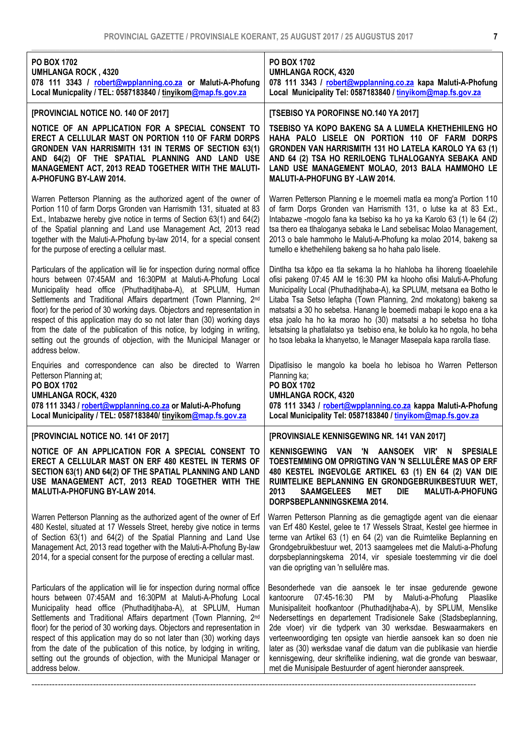| <b>PO BOX 1702</b><br><b>UMHLANGA ROCK, 4320</b><br>078 111 3343 / robert@wpplanning.co.za or Maluti-A-Phofung<br>Local Municpality / TEL: 0587183840 / tinyikom@map.fs.gov.za                                                                                                                                                                                                                                                                                                                                                                                                                                          | <b>PO BOX 1702</b><br><b>UMHLANGA ROCK, 4320</b><br>078 111 3343 / robert@wpplanning.co.za kapa Maluti-A-Phofung<br>Local Municipality Tel: 0587183840 / tinyikom@map.fs.gov.za                                                                                                                                                                                                                                                                                                                                                                                                                                                      |
|-------------------------------------------------------------------------------------------------------------------------------------------------------------------------------------------------------------------------------------------------------------------------------------------------------------------------------------------------------------------------------------------------------------------------------------------------------------------------------------------------------------------------------------------------------------------------------------------------------------------------|--------------------------------------------------------------------------------------------------------------------------------------------------------------------------------------------------------------------------------------------------------------------------------------------------------------------------------------------------------------------------------------------------------------------------------------------------------------------------------------------------------------------------------------------------------------------------------------------------------------------------------------|
| [PROVINCIAL NOTICE NO. 140 OF 2017]                                                                                                                                                                                                                                                                                                                                                                                                                                                                                                                                                                                     | [TSEBISO YA POROFINSE NO.140 YA 2017]                                                                                                                                                                                                                                                                                                                                                                                                                                                                                                                                                                                                |
| NOTICE OF AN APPLICATION FOR A SPECIAL CONSENT TO<br>ERECT A CELLULAR MAST ON PORTION 110 OF FARM DORPS<br>GRONDEN VAN HARRISMITH 131 IN TERMS OF SECTION 63(1)<br>AND 64(2) OF THE SPATIAL PLANNING AND LAND USE<br>MANAGEMENT ACT, 2013 READ TOGETHER WITH THE MALUTI-<br>A-PHOFUNG BY-LAW 2014.                                                                                                                                                                                                                                                                                                                      | TSEBISO YA KOPO BAKENG SA A LUMELA KHETHEHILENG HO<br>HAHA PALO LISELE ON PORTION 110 OF FARM DORPS<br>GRONDEN VAN HARRISMITH 131 HO LATELA KAROLO YA 63 (1)<br>AND 64 (2) TSA HO RERILOENG TLHALOGANYA SEBAKA AND<br>LAND USE MANAGEMENT MOLAO, 2013 BALA HAMMOHO LE<br><b>MALUTI-A-PHOFUNG BY -LAW 2014.</b>                                                                                                                                                                                                                                                                                                                       |
| Warren Petterson Planning as the authorized agent of the owner of<br>Portion 110 of farm Dorps Gronden van Harrismith 131, situated at 83<br>Ext., Intabazwe hereby give notice in terms of Section 63(1) and 64(2)<br>of the Spatial planning and Land use Management Act, 2013 read<br>together with the Maluti-A-Phofung by-law 2014, for a special consent<br>for the purpose of erecting a cellular mast.                                                                                                                                                                                                          | Warren Petterson Planning e le moemeli matla ea mong'a Portion 110<br>of farm Dorps Gronden van Harrismith 131, o lutse ka at 83 Ext.,<br>Intabazwe -mogolo fana ka tsebiso ka ho ya ka Karolo 63 (1) le 64 (2)<br>tsa thero ea tlhaloganya sebaka le Land sebelisac Molao Management,<br>2013 o bale hammoho le Maluti-A-Phofung ka molao 2014, bakeng sa<br>tumello e khethehileng bakeng sa ho haha palo lisele.                                                                                                                                                                                                                  |
| Particulars of the application will lie for inspection during normal office<br>hours between 07:45AM and 16:30PM at Maluti-A-Phofung Local<br>Municipality head office (Phuthaditjhaba-A), at SPLUM, Human<br>Settlements and Traditional Affairs department (Town Planning, 2 <sup>nd</sup><br>floor) for the period of 30 working days. Objectors and representation in<br>respect of this application may do so not later than (30) working days<br>from the date of the publication of this notice, by lodging in writing,<br>setting out the grounds of objection, with the Municipal Manager or<br>address below. | Dintlha tsa kōpo ea tla sekama la ho hlahloba ha lihoreng tloaelehile<br>ofisi pakeng 07:45 AM le 16:30 PM ka hlooho ofisi Maluti-A-Phofung<br>Municipality Local (Phuthaditjhaba-A), ka SPLUM, metsana ea Botho le<br>Litaba Tsa Setso lefapha (Town Planning, 2nd mokatong) bakeng sa<br>matsatsi a 30 ho sebetsa. Hanang le boemedi mabapi le kopo ena a ka<br>etsa joalo ha ho ka morao ho (30) matsatsi a ho sebetsa ho tloha<br>letsatsing la phatlalatso ya tsebiso ena, ke bolulo ka ho ngola, ho beha<br>ho tsoa lebaka la khanyetso, le Manager Masepala kapa rarolla tlase.                                               |
| Enquiries and correspondence can also be directed to Warren<br>Petterson Planning at;<br><b>PO BOX 1702</b><br><b>UMHLANGA ROCK, 4320</b><br>078 111 3343 / robert@wpplanning.co.za or Maluti-A-Phofung<br>Local Municipality / TEL: 0587183840/ tinyikom@map.fs.gov.za                                                                                                                                                                                                                                                                                                                                                 | Dipatlisiso le mangolo ka boela ho lebisoa ho Warren Petterson<br>Planning ka;<br><b>PO BOX 1702</b><br><b>UMHLANGA ROCK, 4320</b><br>078 111 3343 / robert@wpplanning.co.za kappa Maluti-A-Phofung<br>Local Municipality Tel: 0587183840 / tinyikom@map.fs.gov.za                                                                                                                                                                                                                                                                                                                                                                   |
| [PROVINCIAL NOTICE NO. 141 OF 2017]                                                                                                                                                                                                                                                                                                                                                                                                                                                                                                                                                                                     | [PROVINSIALE KENNISGEWING NR. 141 VAN 2017]                                                                                                                                                                                                                                                                                                                                                                                                                                                                                                                                                                                          |
| NOTICE OF AN APPLICATION FOR A SPECIAL CONSENT TO<br>ERECT A CELLULAR MAST ON ERF 480 KESTEL IN TERMS OF<br>SECTION 63(1) AND 64(2) OF THE SPATIAL PLANNING AND LAND<br>USE MANAGEMENT ACT, 2013 READ TOGETHER WITH THE<br>MALUTI-A-PHOFUNG BY-LAW 2014.                                                                                                                                                                                                                                                                                                                                                                | KENNISGEWING VAN 'N AANSOEK VIR' N SPESIALE<br>TOESTEMMING OM OPRIGTING VAN 'N SELLULÊRE MAS OP ERF<br>480 KESTEL INGEVOLGE ARTIKEL 63 (1) EN 64 (2) VAN DIE<br>RUIMTELIKE BEPLANNING EN GRONDGEBRUIKBESTUUR WET,<br>2013<br>DIE<br><b>SAAMGELEES</b><br><b>MET</b><br><b>MALUTI-A-PHOFUNG</b><br>DORPSBEPLANNINGSKEMA 2014.                                                                                                                                                                                                                                                                                                         |
| Warren Petterson Planning as the authorized agent of the owner of Erf<br>480 Kestel, situated at 17 Wessels Street, hereby give notice in terms<br>of Section 63(1) and 64(2) of the Spatial Planning and Land Use<br>Management Act, 2013 read together with the Maluti-A-Phofung By-law<br>2014, for a special consent for the purpose of erecting a cellular mast.                                                                                                                                                                                                                                                   | Warren Petterson Planning as die gemagtigde agent van die eienaar<br>van Erf 480 Kestel, gelee te 17 Wessels Straat, Kestel gee hiermee in<br>terme van Artikel 63 (1) en 64 (2) van die Ruimtelike Beplanning en<br>Grondgebruikbestuur wet, 2013 saamgelees met die Maluti-a-Phofung<br>dorpsbeplanningskema 2014, vir spesiale toestemming vir die doel<br>van die oprigting van 'n sellulêre mas.                                                                                                                                                                                                                                |
| Particulars of the application will lie for inspection during normal office<br>hours between 07:45AM and 16:30PM at Maluti-A-Phofung Local<br>Municipality head office (Phuthaditjhaba-A), at SPLUM, Human<br>Settlements and Traditional Affairs department (Town Planning, 2nd<br>floor) for the period of 30 working days. Objectors and representation in<br>respect of this application may do so not later than (30) working days<br>from the date of the publication of this notice, by lodging in writing,<br>setting out the grounds of objection, with the Municipal Manager or<br>address below.             | Besonderhede van die aansoek le ter insae gedurende gewone<br>kantoorure 07:45-16:30<br>by Maluti-a-Phofung<br><b>PM</b><br>Plaaslike<br>Munisipaliteit hoofkantoor (Phuthaditjhaba-A), by SPLUM, Menslike<br>Nedersettings en departement Tradisionele Sake (Stadsbeplanning,<br>2de vloer) vir die tydperk van 30 werksdae. Beswaarmakers en<br>verteenwoordiging ten opsigte van hierdie aansoek kan so doen nie<br>later as (30) werksdae vanaf die datum van die publikasie van hierdie<br>kennisgewing, deur skriftelike indiening, wat die gronde van beswaar,<br>met die Munisipale Bestuurder of agent hieronder aanspreek. |